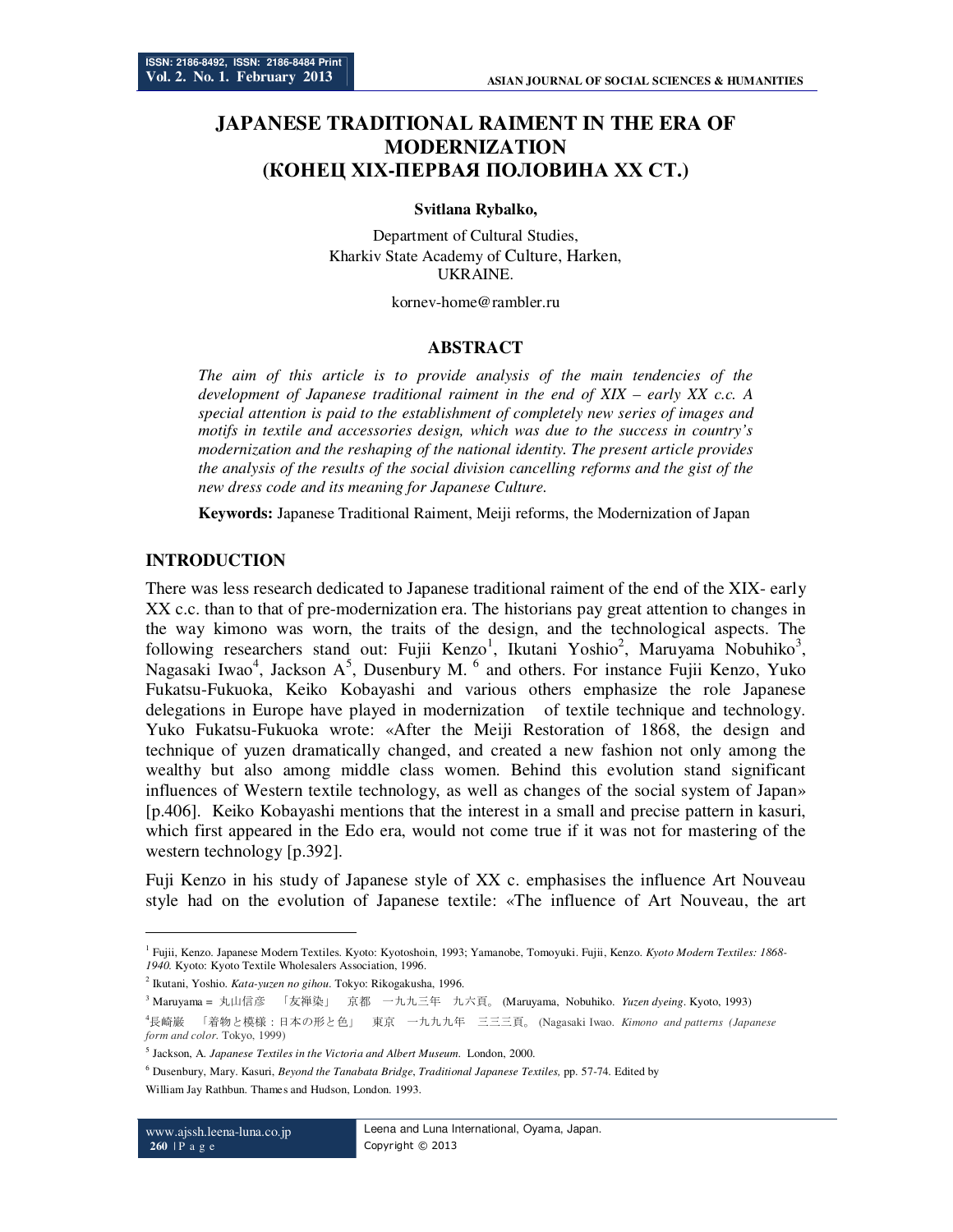# **JAPANESE TRADITIONAL RAIMENT IN THE ERA OF MODERNIZATION (КОНЕЦ ХІХ-ПЕРВАЯ ПОЛОВИНА ХХ СТ.)**

#### **Svitlana Rybalko,**

Department of Cultural Studies, Kharkiv State Academy of Culture, Harken, UKRAINE.

kornev-home@rambler.ru

### **ABSTRACT**

*The aim of this article is to provide analysis of the main tendencies of the development of Japanese traditional raiment in the end of XIX – early XX c.c. A special attention is paid to the establishment of completely new series of images and motifs in textile and accessories design, which was due to the success in country's modernization and the reshaping of the national identity. The present article provides the analysis of the results of the social division cancelling reforms and the gist of the new dress code and its meaning for Japanese Culture.* 

**Keywords:** Japanese Traditional Raiment, Meiji reforms, the Modernization of Japan

# **INTRODUCTION**

There was less research dedicated to Japanese traditional raiment of the end of the XIX- early XX c.c. than to that of pre-modernization era. The historians pay great attention to changes in the way kimono was worn, the traits of the design, and the technological aspects. The following researchers stand out: Fujii Kenzo<sup>1</sup>, Ikutani Yoshio<sup>2</sup>, Maruyama Nobuhiko<sup>3</sup>, Nagasaki Iwao<sup>4</sup>, Jackson A<sup>5</sup>, Dusenbury M.<sup>6</sup> and others. For instance Fujii Kenzo, Yuko Fukatsu-Fukuoka, Keiko Kobayashi and various others emphasize the role Japanese delegations in Europe have played in modernization of textile technique and technology. Yuko Fukatsu-Fukuoka wrote: «After the Meiji Restoration of 1868, the design and technique of yuzen dramatically changed, and created a new fashion not only among the wealthy but also among middle class women. Behind this evolution stand significant influences of Western textile technology, as well as changes of the social system of Japan» [p.406]. Keiko Kobayashi mentions that the interest in a small and precise pattern in kasuri, which first appeared in the Edo era, would not come true if it was not for mastering of the western technology [p.392].

Fuji Kenzo in his study of Japanese style of XX c. emphasises the influence Art Nouveau style had on the evolution of Japanese textile: «The influence of Art Nouveau, the art

2 Ikutani, Yoshio. *Kata-yuzen no gihou*. Tokyo: Rikogakusha, 1996.

 $\overline{a}$ 

<sup>1</sup> Fujii, Kenzo. Japanese Modern Textiles. Kyoto: Kyotoshoin, 1993; Yamanobe, Tomoyuki. Fujii, Kenzo. *Kyoto Modern Textiles: 1868- 1940.* Kyoto: Kyoto Textile Wholesalers Association, 1996.

<sup>3</sup> Maruyama = 丸山信彦 「友禅染」 京都 一九九三年 九六頁。 (Maruyama, Nobuhiko. *Yuzen dyeing*. Kyoto, 1993)

<sup>4</sup>長崎巌 「着物と模様:日本の形と色」 東京 一九九九年 三三三頁。 (Nagasaki Іwao. *Kimono and patterns (Japanese form and color*. Tokyo, 1999)

<sup>5</sup> Jackson, A. *Japanese Textiles in the Victoria and Albert Museum*. London, 2000.

<sup>6</sup> Dusenbury, Mary. Kasuri, *Beyond the Tanabata Bridge*, *Traditional Japanese Textiles,* pp. 57-74. Edited by William Jay Rathbun. Thames and Hudson, London. 1993.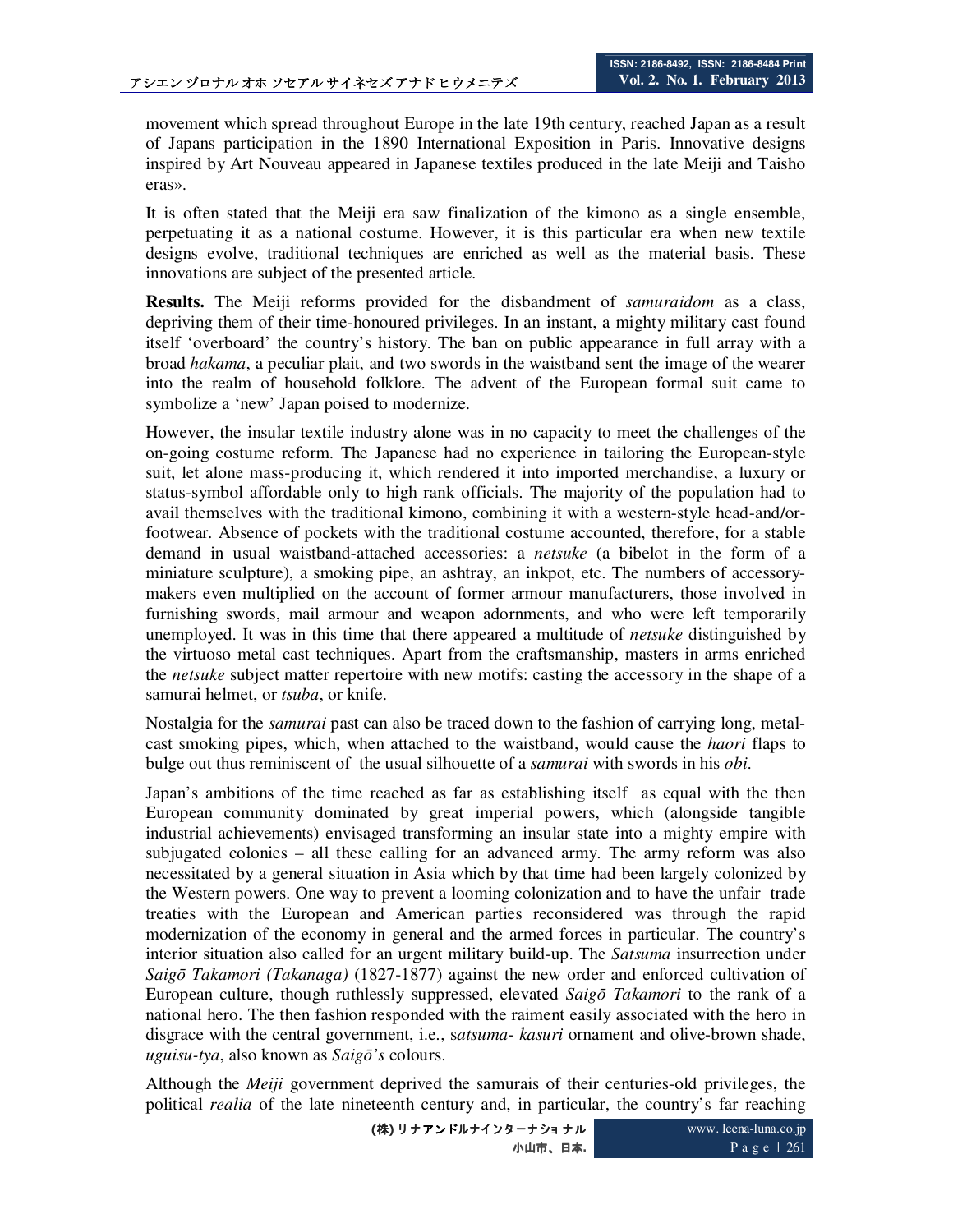movement which spread throughout Europe in the late 19th century, reached Japan as a result of Japans participation in the 1890 International Exposition in Paris. Innovative designs inspired by Art Nouveau appeared in Japanese textiles produced in the late Meiji and Taisho eras».

It is often stated that the Meiji era saw finalization of the kimono as a single ensemble, perpetuating it as a national costume. However, it is this particular era when new textile designs evolve, traditional techniques are enriched as well as the material basis. These innovations are subject of the presented article.

**Results.** The Meiji reforms provided for the disbandment of *samuraidom* as a class, depriving them of their time-honoured privileges. In an instant, a mighty military cast found itself 'overboard' the country's history. The ban on public appearance in full array with a broad *hakama*, a peculiar plait, and two swords in the waistband sent the image of the wearer into the realm of household folklore. The advent of the European formal suit came to symbolize a 'new' Japan poised to modernize.

However, the insular textile industry alone was in no capacity to meet the challenges of the on-going costume reform. The Japanese had no experience in tailoring the European-style suit, let alone mass-producing it, which rendered it into imported merchandise, a luxury or status-symbol affordable only to high rank officials. The majority of the population had to avail themselves with the traditional kimono, combining it with a western-style head-and/orfootwear. Absence of pockets with the traditional costume accounted, therefore, for a stable demand in usual waistband-attached accessories: a *netsuke* (a bibelot in the form of a miniature sculpture), a smoking pipe, an ashtray, an inkpot, etc. The numbers of accessorymakers even multiplied on the account of former armour manufacturers, those involved in furnishing swords, mail armour and weapon adornments, and who were left temporarily unemployed. It was in this time that there appeared a multitude of *netsuke* distinguished by the virtuoso metal cast techniques. Apart from the craftsmanship, masters in arms enriched the *netsuke* subject matter repertoire with new motifs: casting the accessory in the shape of a samurai helmet, or *tsuba*, or knife.

Nostalgia for the *samurai* past can also be traced down to the fashion of carrying long, metalcast smoking pipes, which, when attached to the waistband, would cause the *haori* flaps to bulge out thus reminiscent of the usual silhouette of a *samurai* with swords in his *obi*.

Japan's ambitions of the time reached as far as establishing itself as equal with the then European community dominated by great imperial powers, which (alongside tangible industrial achievements) envisaged transforming an insular state into a mighty empire with subjugated colonies – all these calling for an advanced army. The army reform was also necessitated by a general situation in Asia which by that time had been largely colonized by the Western powers. One way to prevent a looming colonization and to have the unfair trade treaties with the European and American parties reconsidered was through the rapid modernization of the economy in general and the armed forces in particular. The country's interior situation also called for an urgent military build-up. The *Satsuma* insurrection under *Saigō Takamori (Takanaga)* (1827-1877) against the new order and enforced cultivation of European culture, though ruthlessly suppressed, elevated *Saigō Takamori* to the rank of a national hero. The then fashion responded with the raiment easily associated with the hero in disgrace with the central government, i.e., s*atsuma- kasuri* ornament and olive-brown shade, *uguisu-tya*, also known as *Saigō's* colours.

Although the *Meiji* government deprived the samurais of their centuries-old privileges, the political *realia* of the late nineteenth century and, in particular, the country's far reaching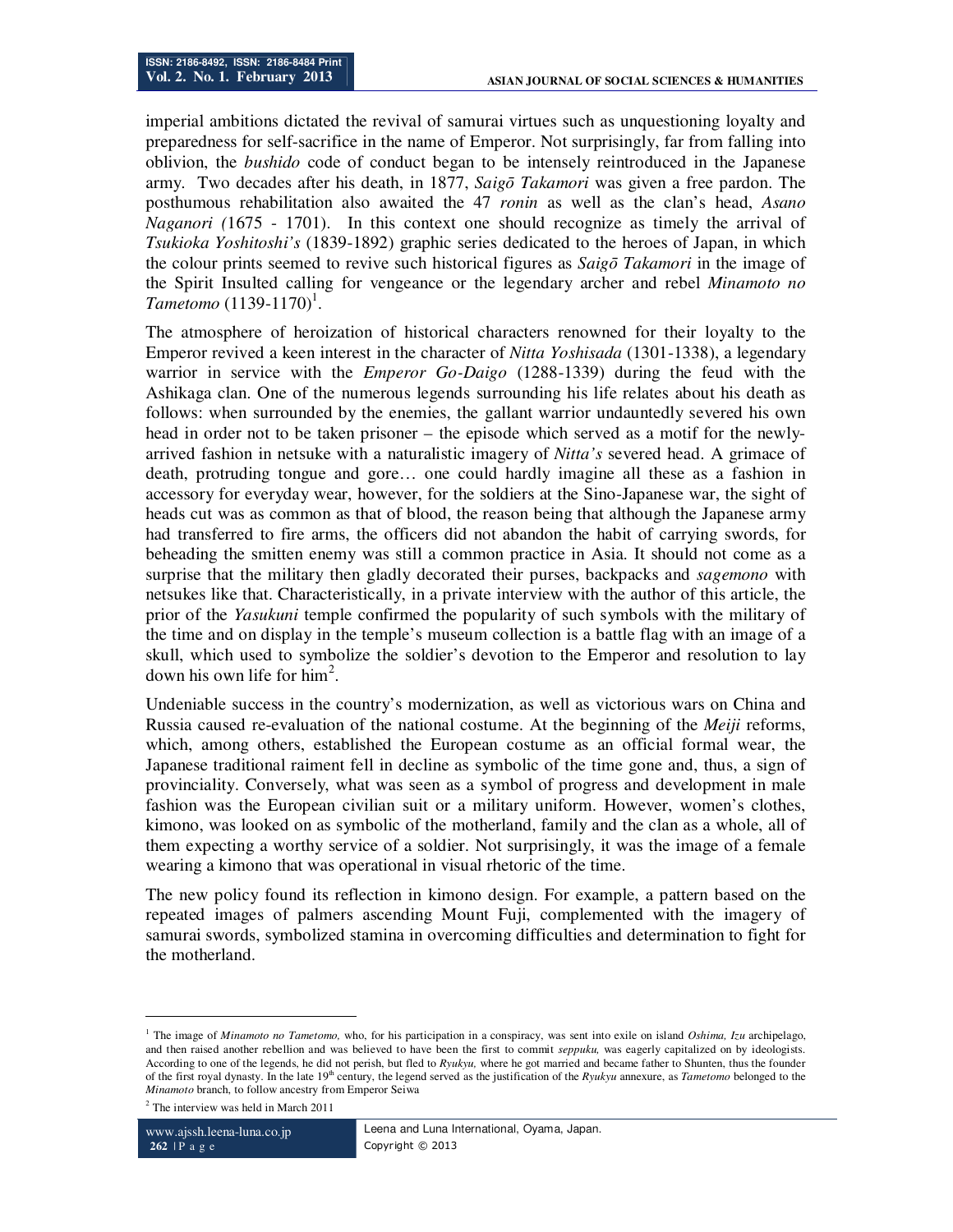imperial ambitions dictated the revival of samurai virtues such as unquestioning loyalty and preparedness for self-sacrifice in the name of Emperor. Not surprisingly, far from falling into oblivion, the *bushido* code of conduct began to be intensely reintroduced in the Japanese army. Two decades after his death, in 1877, *Saigō Takamori* was given a free pardon. The posthumous rehabilitation also awaited the 47 *ronin* as well as the clan's head, *Asano Naganori (*1675 - 1701). In this context one should recognize as timely the arrival of *Tsukioka Yoshitoshi's* (1839-1892) graphic series dedicated to the heroes of Japan, in which the colour prints seemed to revive such historical figures as *Saigō Takamori* in the image of the Spirit Insulted calling for vengeance or the legendary archer and rebel *Minamoto no*   $T$ ametomo  $(1139-1170)^{1}$ .

The atmosphere of heroization of historical characters renowned for their loyalty to the Emperor revived a keen interest in the character of *Nitta Yoshisada* (1301-1338), a legendary warrior in service with the *Emperor Go-Daigo* (1288-1339) during the feud with the Ashikaga clan. One of the numerous legends surrounding his life relates about his death as follows: when surrounded by the enemies, the gallant warrior undauntedly severed his own head in order not to be taken prisoner – the episode which served as a motif for the newlyarrived fashion in netsuke with a naturalistic imagery of *Nitta's* severed head. A grimace of death, protruding tongue and gore… one could hardly imagine all these as a fashion in accessory for everyday wear, however, for the soldiers at the Sino-Japanese war, the sight of heads cut was as common as that of blood, the reason being that although the Japanese army had transferred to fire arms, the officers did not abandon the habit of carrying swords, for beheading the smitten enemy was still a common practice in Asia. It should not come as a surprise that the military then gladly decorated their purses, backpacks and *sagemono* with netsukes like that. Characteristically, in a private interview with the author of this article, the prior of the *Yasukuni* temple confirmed the popularity of such symbols with the military of the time and on display in the temple's museum collection is a battle flag with an image of a skull, which used to symbolize the soldier's devotion to the Emperor and resolution to lay down his own life for  $\text{him}^2$ .

Undeniable success in the country's modernization, as well as victorious wars on China and Russia caused re-evaluation of the national costume. At the beginning of the *Meiji* reforms, which, among others, established the European costume as an official formal wear, the Japanese traditional raiment fell in decline as symbolic of the time gone and, thus, a sign of provinciality. Conversely, what was seen as a symbol of progress and development in male fashion was the European civilian suit or a military uniform. However, women's clothes, kimono, was looked on as symbolic of the motherland, family and the clan as a whole, all of them expecting a worthy service of a soldier. Not surprisingly, it was the image of a female wearing a kimono that was operational in visual rhetoric of the time.

The new policy found its reflection in kimono design. For example, a pattern based on the repeated images of palmers ascending Mount Fuji, complemented with the imagery of samurai swords, symbolized stamina in overcoming difficulties and determination to fight for the motherland.

-

<sup>1</sup> The image of *Minamoto no Tametomo,* who, for his participation in a conspiracy, was sent into exile on island *Oshima, Izu* archipelago, and then raised another rebellion and was believed to have been the first to commit *seppuku,* was eagerly capitalized on by ideologists. According to one of the legends, he did not perish, but fled to *Ryukyu,* where he got married and became father to Shunten, thus the founder of the first royal dynasty. In the late 19th century, the legend served as the justification of the *Ryukyu* annexure, as *Tametomo* belonged to the *Minamoto* branch, to follow ancestry from Emperor Seiwa

<sup>&</sup>lt;sup>2</sup> The interview was held in March 2011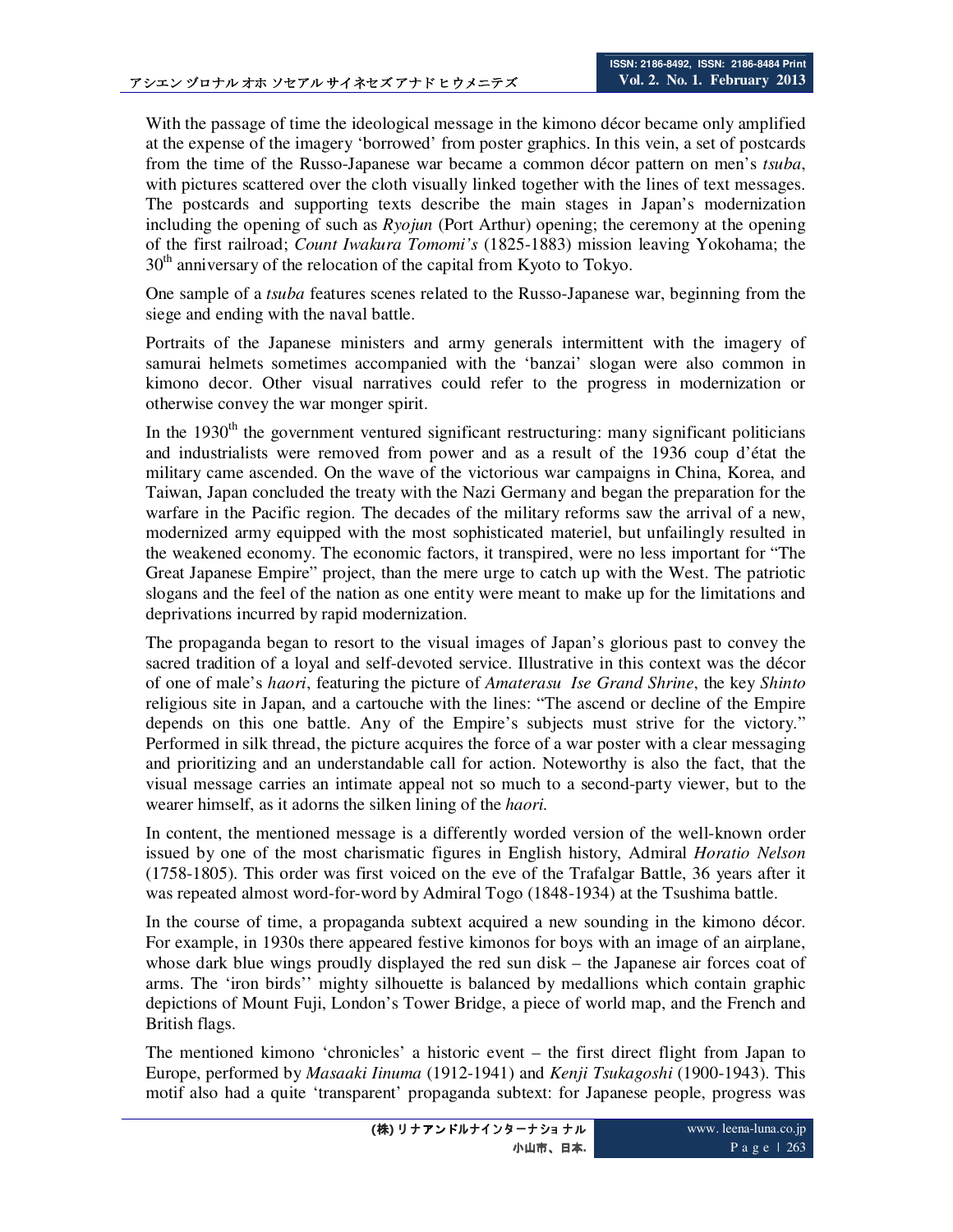With the passage of time the ideological message in the kimono décor became only amplified at the expense of the imagery 'borrowed' from poster graphics. In this vein, a set of postcards from the time of the Russo-Japanese war became a common décor pattern on men's *tsuba*, with pictures scattered over the cloth visually linked together with the lines of text messages. The postcards and supporting texts describe the main stages in Japan's modernization including the opening of such as *Ryojun* (Port Arthur) opening; the ceremony at the opening of the first railroad; *Count Iwakura Tomomi's* (1825-1883) mission leaving Yokohama; the  $30<sup>th</sup>$  anniversary of the relocation of the capital from Kyoto to Tokyo.

One sample of a *tsuba* features scenes related to the Russo-Japanese war, beginning from the siege and ending with the naval battle.

Portraits of the Japanese ministers and army generals intermittent with the imagery of samurai helmets sometimes accompanied with the 'banzai' slogan were also common in kimono decor. Other visual narratives could refer to the progress in modernization or otherwise convey the war monger spirit.

In the 1930<sup>th</sup> the government ventured significant restructuring: many significant politicians and industrialists were removed from power and as a result of the 1936 coup d'état the military came ascended. On the wave of the victorious war campaigns in China, Korea, and Taiwan, Japan concluded the treaty with the Nazi Germany and began the preparation for the warfare in the Pacific region. The decades of the military reforms saw the arrival of a new, modernized army equipped with the most sophisticated materiel, but unfailingly resulted in the weakened economy. The economic factors, it transpired, were no less important for "The Great Japanese Empire" project, than the mere urge to catch up with the West. The patriotic slogans and the feel of the nation as one entity were meant to make up for the limitations and deprivations incurred by rapid modernization.

The propaganda began to resort to the visual images of Japan's glorious past to convey the sacred tradition of a loyal and self-devoted service. Illustrative in this context was the décor of one of male's *haori*, featuring the picture of *Amaterasu Ise Grand Shrine*, the key *Shinto* religious site in Japan, and a cartouche with the lines: "The ascend or decline of the Empire depends on this one battle. Any of the Empire's subjects must strive for the victory." Performed in silk thread, the picture acquires the force of a war poster with a clear messaging and prioritizing and an understandable call for action. Noteworthy is also the fact, that the visual message carries an intimate appeal not so much to a second-party viewer, but to the wearer himself, as it adorns the silken lining of the *haori.*

In content, the mentioned message is a differently worded version of the well-known order issued by one of the most charismatic figures in English history, Admiral *Horatio Nelson* (1758-1805). This order was first voiced on the eve of the Trafalgar Battle, 36 years after it was repeated almost word-for-word by Admiral Togo (1848-1934) at the Tsushima battle.

In the course of time, a propaganda subtext acquired a new sounding in the kimono décor. For example, in 1930s there appeared festive kimonos for boys with an image of an airplane, whose dark blue wings proudly displayed the red sun disk – the Japanese air forces coat of arms. The 'iron birds'' mighty silhouette is balanced by medallions which contain graphic depictions of Mount Fuji, London's Tower Bridge, a piece of world map, and the French and British flags.

The mentioned kimono 'chronicles' a historic event – the first direct flight from Japan to Europe, performed by *Masaaki Iinuma* (1912-1941) and *Kenji Tsukagoshi* (1900-1943). This motif also had a quite 'transparent' propaganda subtext: for Japanese people, progress was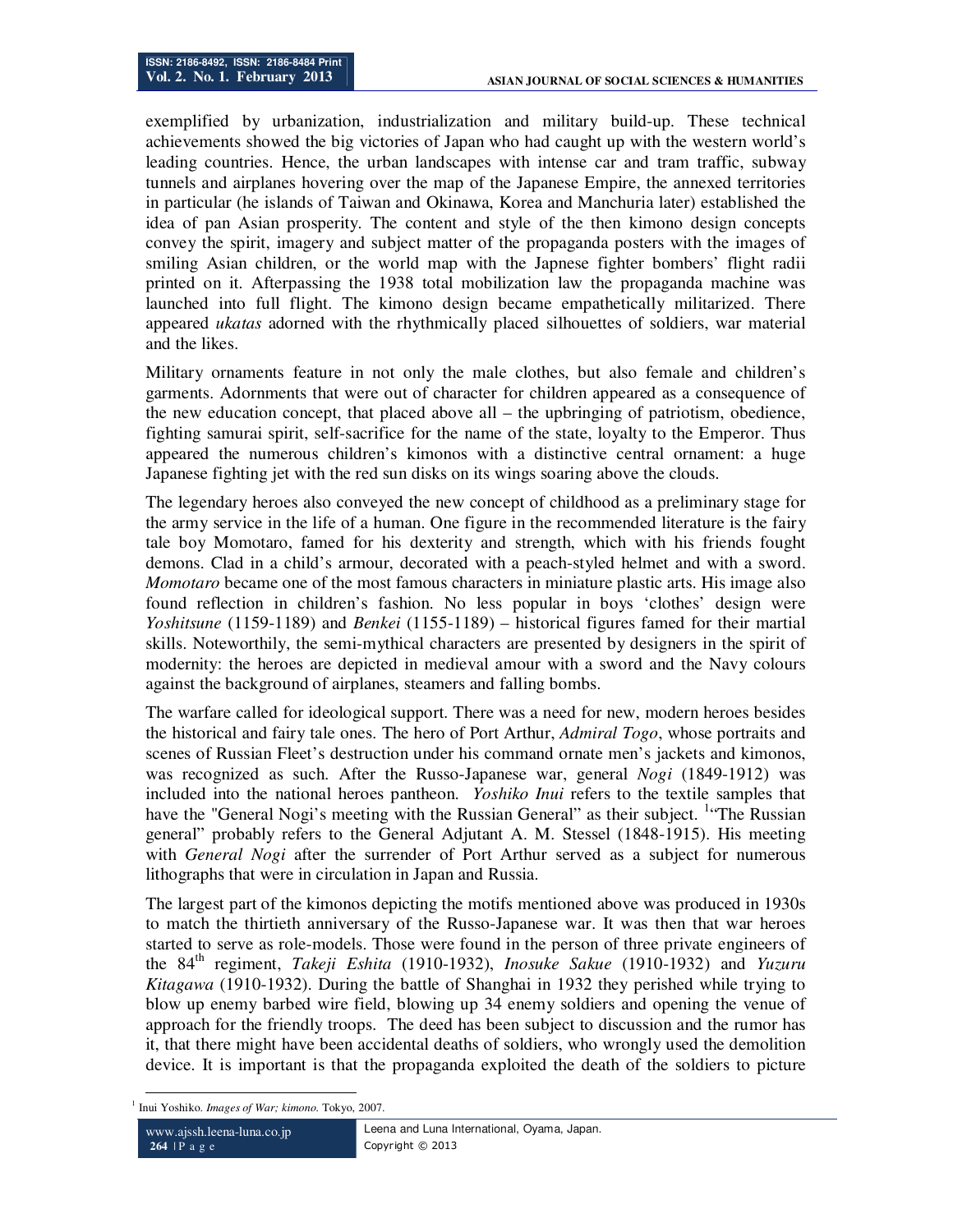exemplified by urbanization, industrialization and military build-up. These technical achievements showed the big victories of Japan who had caught up with the western world's leading countries. Hence, the urban landscapes with intense car and tram traffic, subway tunnels and airplanes hovering over the map of the Japanese Empire, the annexed territories in particular (he islands of Taiwan and Okinawa, Korea and Manchuria later) established the idea of pan Asian prosperity. The content and style of the then kimono design concepts convey the spirit, imagery and subject matter of the propaganda posters with the images of smiling Asian children, or the world map with the Japnese fighter bombers' flight radii printed on it. Afterpassing the 1938 total mobilization law the propaganda machine was launched into full flight. The kimono design became empathetically militarized. There appeared *ukatas* adorned with the rhythmically placed silhouettes of soldiers, war material and the likes.

Military ornaments feature in not only the male clothes, but also female and children's garments. Adornments that were out of character for children appeared as a consequence of the new education concept, that placed above all – the upbringing of patriotism, obedience, fighting samurai spirit, self-sacrifice for the name of the state, loyalty to the Emperor. Thus appeared the numerous children's kimonos with a distinctive central ornament: a huge Japanese fighting jet with the red sun disks on its wings soaring above the clouds.

The legendary heroes also conveyed the new concept of childhood as a preliminary stage for the army service in the life of a human. One figure in the recommended literature is the fairy tale boy Momotaro, famed for his dexterity and strength, which with his friends fought demons. Clad in a child's armour, decorated with a peach-styled helmet and with a sword. *Momotaro* became one of the most famous characters in miniature plastic arts. His image also found reflection in children's fashion. No less popular in boys 'clothes' design were *Yoshitsune* (1159-1189) and *Benkei* (1155-1189) – historical figures famed for their martial skills. Noteworthily, the semi-mythical characters are presented by designers in the spirit of modernity: the heroes are depicted in medieval amour with a sword and the Navy colours against the background of airplanes, steamers and falling bombs.

The warfare called for ideological support. There was a need for new, modern heroes besides the historical and fairy tale ones. The hero of Port Arthur, *Admiral Togo*, whose portraits and scenes of Russian Fleet's destruction under his command ornate men's jackets and kimonos, was recognized as such. After the Russo-Japanese war, general *Nogi* (1849-1912) was included into the national heroes pantheon. *Yoshiko Inui* refers to the textile samples that have the "General Nogi's meeting with the Russian General" as their subject. <sup>1</sup> The Russian general" probably refers to the General Adjutant A. M. Stessel (1848-1915). His meeting with *General Nogi* after the surrender of Port Arthur served as a subject for numerous lithographs that were in circulation in Japan and Russia.

The largest part of the kimonos depicting the motifs mentioned above was produced in 1930s to match the thirtieth anniversary of the Russo-Japanese war. It was then that war heroes started to serve as role-models. Those were found in the person of three private engineers of the 84th regiment, *Takeji Eshita* (1910-1932), *Inosuke Sakue* (1910-1932) and *Yuzuru Kitagawa* (1910-1932). During the battle of Shanghai in 1932 they perished while trying to blow up enemy barbed wire field, blowing up 34 enemy soldiers and opening the venue of approach for the friendly troops. The deed has been subject to discussion and the rumor has it, that there might have been accidental deaths of soldiers, who wrongly used the demolition device. It is important is that the propaganda exploited the death of the soldiers to picture

<sup>-</sup>1 Inui Yoshiko. *Images of War; kimono.* Tokyo, 2007.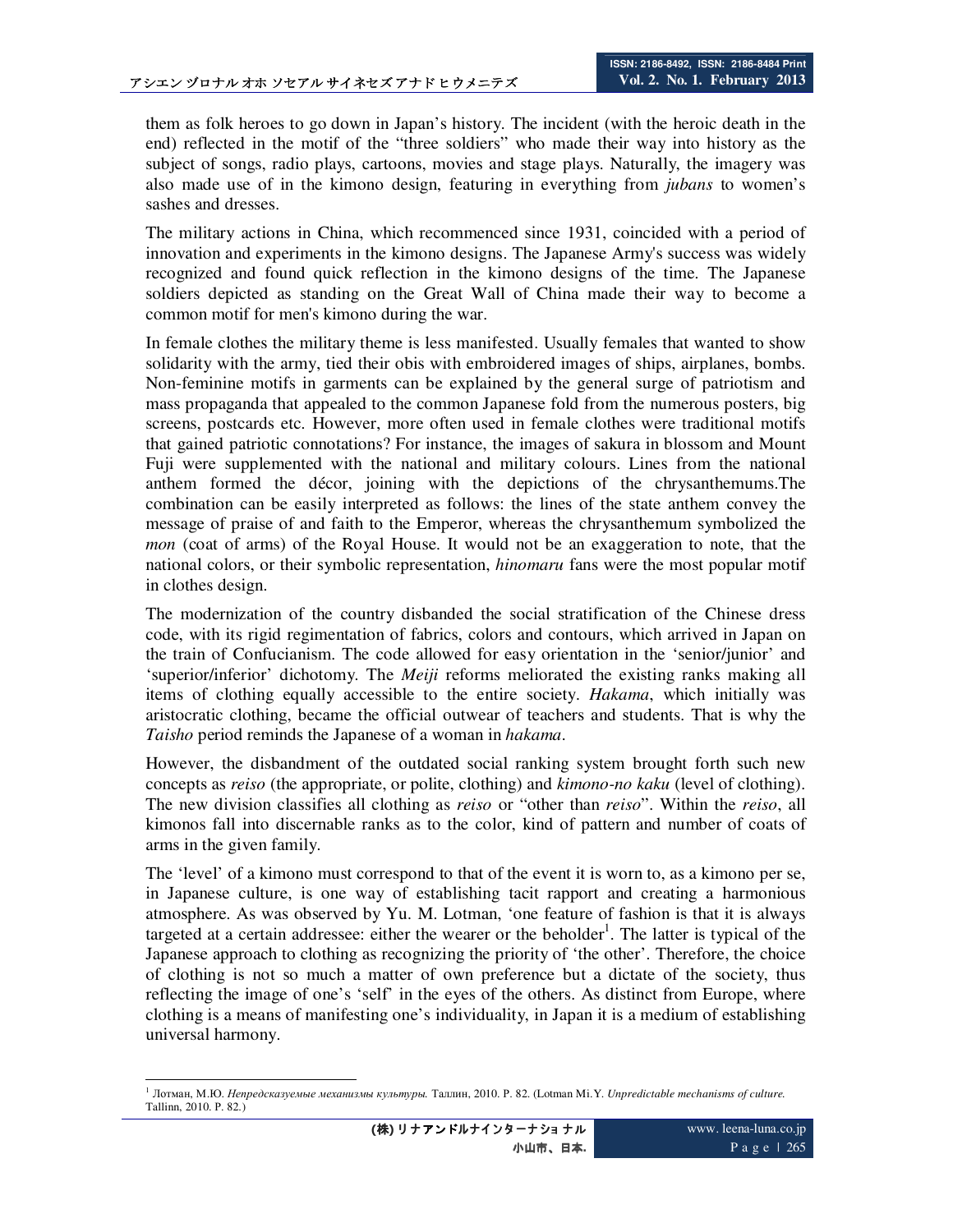them as folk heroes to go down in Japan's history. The incident (with the heroic death in the end) reflected in the motif of the "three soldiers" who made their way into history as the subject of songs, radio plays, cartoons, movies and stage plays. Naturally, the imagery was also made use of in the kimono design, featuring in everything from *jubans* to women's sashes and dresses.

The military actions in China, which recommenced since 1931, coincided with a period of innovation and experiments in the kimono designs. The Japanese Army's success was widely recognized and found quick reflection in the kimono designs of the time. The Japanese soldiers depicted as standing on the Great Wall of China made their way to become a common motif for men's kimono during the war.

In female clothes the military theme is less manifested. Usually females that wanted to show solidarity with the army, tied their obis with embroidered images of ships, airplanes, bombs. Non-feminine motifs in garments can be explained by the general surge of patriotism and mass propaganda that appealed to the common Japanese fold from the numerous posters, big screens, postcards etc. However, more often used in female clothes were traditional motifs that gained patriotic connotations? For instance, the images of sakura in blossom and Mount Fuji were supplemented with the national and military colours. Lines from the national anthem formed the décor, joining with the depictions of the chrysanthemums.The combination can be easily interpreted as follows: the lines of the state anthem convey the message of praise of and faith to the Emperor, whereas the chrysanthemum symbolized the *mon* (coat of arms) of the Royal House. It would not be an exaggeration to note, that the national colors, or their symbolic representation, *hinomaru* fans were the most popular motif in clothes design.

The modernization of the country disbanded the social stratification of the Chinese dress code, with its rigid regimentation of fabrics, colors and contours, which arrived in Japan on the train of Confucianism. The code allowed for easy orientation in the 'senior/junior' and 'superior/inferior' dichotomy. The *Meiji* reforms meliorated the existing ranks making all items of clothing equally accessible to the entire society. *Hakama*, which initially was aristocratic clothing, became the official outwear of teachers and students. That is why the *Taisho* period reminds the Japanese of a woman in *hakama*.

However, the disbandment of the outdated social ranking system brought forth such new concepts as *reiso* (the appropriate, or polite, clothing) and *kimono-no kaku* (level of clothing). The new division classifies all clothing as *reiso* or "other than *reiso*". Within the *reiso*, all kimonos fall into discernable ranks as to the color, kind of pattern and number of coats of arms in the given family.

The 'level' of a kimono must correspond to that of the event it is worn to, as a kimono per se, in Japanese culture, is one way of establishing tacit rapport and creating a harmonious atmosphere. As was observed by Yu. M. Lotman, 'one feature of fashion is that it is always targeted at a certain addressee: either the wearer or the beholder<sup>1</sup>. The latter is typical of the Japanese approach to clothing as recognizing the priority of 'the other'. Therefore, the choice of clothing is not so much a matter of own preference but a dictate of the society, thus reflecting the image of one's 'self' in the eyes of the others. As distinct from Europe, where clothing is a means of manifesting one's individuality, in Japan it is a medium of establishing universal harmony.

<sup>-</sup><sup>1</sup> Лотман, М.Ю. *Непредсказуемые механизмы культуры.* Таллин, 2010. Р. 82. (Lotman Mi.Y. *Unpredictable mechanisms of culture.* Tallinn, 2010. Р. 82.)